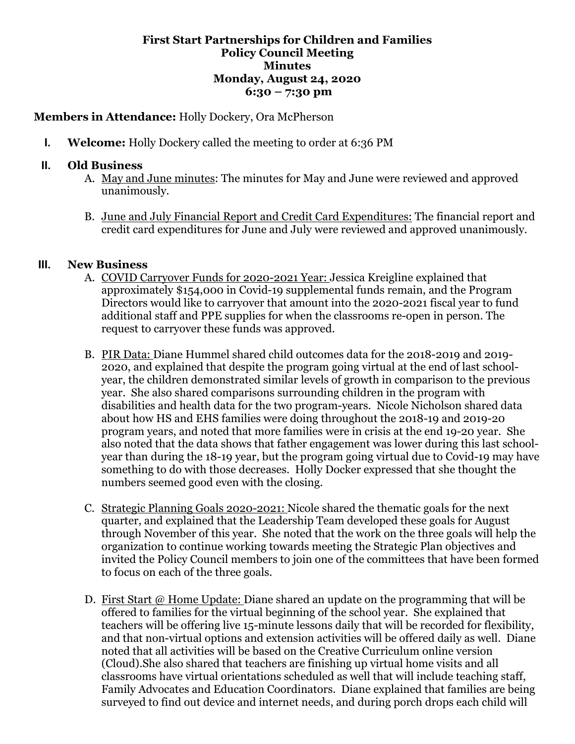## **First Start Partnerships for Children and Families Policy Council Meeting Minutes Monday, August 24, 2020 6:30 – 7:30 pm**

## **Members in Attendance:** Holly Dockery, Ora McPherson

**I. Welcome:** Holly Dockery called the meeting to order at 6:36 PM

## **II. Old Business**

- A. May and June minutes: The minutes for May and June were reviewed and approved unanimously.
- B. June and July Financial Report and Credit Card Expenditures: The financial report and credit card expenditures for June and July were reviewed and approved unanimously.

## **III. New Business**

- A. COVID Carryover Funds for 2020-2021 Year: Jessica Kreigline explained that approximately \$154,000 in Covid-19 supplemental funds remain, and the Program Directors would like to carryover that amount into the 2020-2021 fiscal year to fund additional staff and PPE supplies for when the classrooms re-open in person. The request to carryover these funds was approved.
- B. PIR Data: Diane Hummel shared child outcomes data for the 2018-2019 and 2019- 2020, and explained that despite the program going virtual at the end of last schoolyear, the children demonstrated similar levels of growth in comparison to the previous year. She also shared comparisons surrounding children in the program with disabilities and health data for the two program-years. Nicole Nicholson shared data about how HS and EHS families were doing throughout the 2018-19 and 2019-20 program years, and noted that more families were in crisis at the end 19-20 year. She also noted that the data shows that father engagement was lower during this last schoolyear than during the 18-19 year, but the program going virtual due to Covid-19 may have something to do with those decreases. Holly Docker expressed that she thought the numbers seemed good even with the closing.
- C. Strategic Planning Goals 2020-2021: Nicole shared the thematic goals for the next quarter, and explained that the Leadership Team developed these goals for August through November of this year. She noted that the work on the three goals will help the organization to continue working towards meeting the Strategic Plan objectives and invited the Policy Council members to join one of the committees that have been formed to focus on each of the three goals.
- D. First Start @ Home Update: Diane shared an update on the programming that will be offered to families for the virtual beginning of the school year. She explained that teachers will be offering live 15-minute lessons daily that will be recorded for flexibility, and that non-virtual options and extension activities will be offered daily as well. Diane noted that all activities will be based on the Creative Curriculum online version (Cloud).She also shared that teachers are finishing up virtual home visits and all classrooms have virtual orientations scheduled as well that will include teaching staff, Family Advocates and Education Coordinators. Diane explained that families are being surveyed to find out device and internet needs, and during porch drops each child will